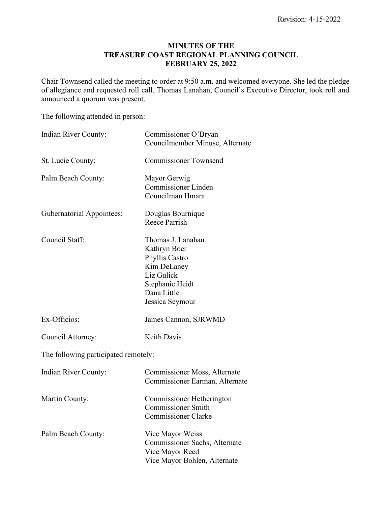## **MINUTES OF THE TREASURE COAST REGIONAL PLANNING COUNCIL FEBRUARY 25, 2022**

Chair Townsend called the meeting to order at 9:50 a.m. and welcomed everyone. She led the pledge of allegiance and requested roll call. Thomas Lanahan, Council's Executive Director, took roll and announced a quorum was present.

The following attended in person:

| Indian River County:                 | Commissioner O'Bryan<br>Councilmember Minuse, Alternate                                                                               |
|--------------------------------------|---------------------------------------------------------------------------------------------------------------------------------------|
| St. Lucie County:                    | <b>Commissioner Townsend</b>                                                                                                          |
| Palm Beach County:                   | Mayor Gerwig<br><b>Commissioner Linden</b><br>Councilman Hmara                                                                        |
| <b>Gubernatorial Appointees:</b>     | Douglas Bournique<br><b>Reece Parrish</b>                                                                                             |
| Council Staff:                       | Thomas J. Lanahan<br>Kathryn Boer<br>Phyllis Castro<br>Kim DeLaney<br>Liz Gulick<br>Stephanie Heidt<br>Dana Little<br>Jessica Seymour |
| Ex-Officios:                         | James Cannon, SJRWMD                                                                                                                  |
| Council Attorney:                    | <b>Keith Davis</b>                                                                                                                    |
| The following participated remotely: |                                                                                                                                       |
| Indian River County:                 | Commissioner Moss, Alternate<br>Commissioner Earman, Alternate                                                                        |
| Martin County:                       | Commissioner Hetherington<br><b>Commissioner Smith</b><br>Commissioner Clarke                                                         |
| Palm Beach County:                   | Vice Mayor Weiss<br>Commissioner Sachs, Alternate<br>Vice Mayor Reed<br>Vice Mayor Bohlen, Alternate                                  |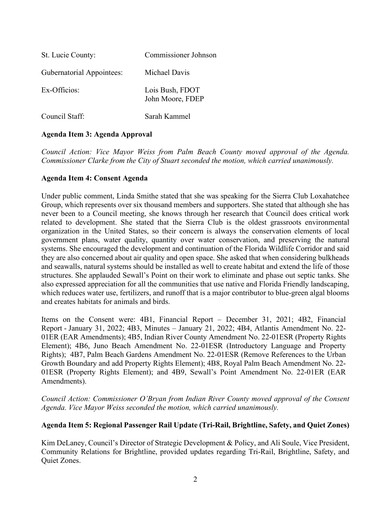| St. Lucie County:                | <b>Commissioner Johnson</b>         |
|----------------------------------|-------------------------------------|
| <b>Gubernatorial Appointees:</b> | Michael Davis                       |
| Ex-Officios:                     | Lois Bush, FDOT<br>John Moore, FDEP |
| Council Staff:                   | Sarah Kammel                        |

# **Agenda Item 3: Agenda Approval**

*Council Action: Vice Mayor Weiss from Palm Beach County moved approval of the Agenda. Commissioner Clarke from the City of Stuart seconded the motion, which carried unanimously.*

## **Agenda Item 4: Consent Agenda**

Under public comment, Linda Smithe stated that she was speaking for the Sierra Club Loxahatchee Group, which represents over six thousand members and supporters. She stated that although she has never been to a Council meeting, she knows through her research that Council does critical work related to development. She stated that the Sierra Club is the oldest grassroots environmental organization in the United States, so their concern is always the conservation elements of local government plans, water quality, quantity over water conservation, and preserving the natural systems. She encouraged the development and continuation of the Florida Wildlife Corridor and said they are also concerned about air quality and open space. She asked that when considering bulkheads and seawalls, natural systems should be installed as well to create habitat and extend the life of those structures. She applauded Sewall's Point on their work to eliminate and phase out septic tanks. She also expressed appreciation for all the communities that use native and Florida Friendly landscaping, which reduces water use, fertilizers, and runoff that is a major contributor to blue-green algal blooms and creates habitats for animals and birds.

Items on the Consent were: 4B1, Financial Report – December 31, 2021; 4B2, Financial Report - January 31, 2022; 4B3, Minutes – January 21, 2022; 4B4, Atlantis Amendment No. 22- 01ER (EAR Amendments); 4B5, Indian River County Amendment No. 22-01ESR (Property Rights Element); 4B6, Juno Beach Amendment No. 22-01ESR (Introductory Language and Property Rights); 4B7, Palm Beach Gardens Amendment No. 22-01ESR (Remove References to the Urban Growth Boundary and add Property Rights Element); 4B8, Royal Palm Beach Amendment No. 22- 01ESR (Property Rights Element); and 4B9, Sewall's Point Amendment No. 22-01ER (EAR Amendments).

*Council Action: Commissioner O'Bryan from Indian River County moved approval of the Consent Agenda. Vice Mayor Weiss seconded the motion, which carried unanimously.*

# **Agenda Item 5: Regional Passenger Rail Update (Tri-Rail, Brightline, Safety, and Quiet Zones)**

Kim DeLaney, Council's Director of Strategic Development & Policy, and Ali Soule, Vice President, Community Relations for Brightline, provided updates regarding Tri-Rail, Brightline, Safety, and Quiet Zones.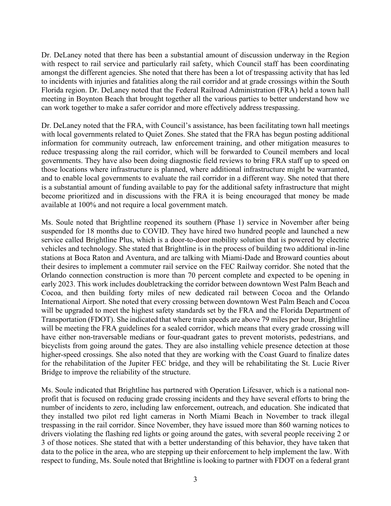Dr. DeLaney noted that there has been a substantial amount of discussion underway in the Region with respect to rail service and particularly rail safety, which Council staff has been coordinating amongst the different agencies. She noted that there has been a lot of trespassing activity that has led to incidents with injuries and fatalities along the rail corridor and at grade crossings within the South Florida region. Dr. DeLaney noted that the Federal Railroad Administration (FRA) held a town hall meeting in Boynton Beach that brought together all the various parties to better understand how we can work together to make a safer corridor and more effectively address trespassing.

Dr. DeLaney noted that the FRA, with Council's assistance, has been facilitating town hall meetings with local governments related to Quiet Zones. She stated that the FRA has begun posting additional information for community outreach, law enforcement training, and other mitigation measures to reduce trespassing along the rail corridor, which will be forwarded to Council members and local governments. They have also been doing diagnostic field reviews to bring FRA staff up to speed on those locations where infrastructure is planned, where additional infrastructure might be warranted, and to enable local governments to evaluate the rail corridor in a different way. She noted that there is a substantial amount of funding available to pay for the additional safety infrastructure that might become prioritized and in discussions with the FRA it is being encouraged that money be made available at 100% and not require a local government match.

Ms. Soule noted that Brightline reopened its southern (Phase 1) service in November after being suspended for 18 months due to COVID. They have hired two hundred people and launched a new service called Brightline Plus, which is a door-to-door mobility solution that is powered by electric vehicles and technology. She stated that Brightline is in the process of building two additional in-line stations at Boca Raton and Aventura, and are talking with Miami-Dade and Broward counties about their desires to implement a commuter rail service on the FEC Railway corridor. She noted that the Orlando connection construction is more than 70 percent complete and expected to be opening in early 2023. This work includes doubletracking the corridor between downtown West Palm Beach and Cocoa, and then building forty miles of new dedicated rail between Cocoa and the Orlando International Airport. She noted that every crossing between downtown West Palm Beach and Cocoa will be upgraded to meet the highest safety standards set by the FRA and the Florida Department of Transportation (FDOT). She indicated that where train speeds are above 79 miles per hour, Brightline will be meeting the FRA guidelines for a sealed corridor, which means that every grade crossing will have either non-traversable medians or four-quadrant gates to prevent motorists, pedestrians, and bicyclists from going around the gates. They are also installing vehicle presence detection at those higher-speed crossings. She also noted that they are working with the Coast Guard to finalize dates for the rehabilitation of the Jupiter FEC bridge, and they will be rehabilitating the St. Lucie River Bridge to improve the reliability of the structure.

Ms. Soule indicated that Brightline has partnered with Operation Lifesaver, which is a national nonprofit that is focused on reducing grade crossing incidents and they have several efforts to bring the number of incidents to zero, including law enforcement, outreach, and education. She indicated that they installed two pilot red light cameras in North Miami Beach in November to track illegal trespassing in the rail corridor. Since November, they have issued more than 860 warning notices to drivers violating the flashing red lights or going around the gates, with several people receiving 2 or 3 of those notices. She stated that with a better understanding of this behavior, they have taken that data to the police in the area, who are stepping up their enforcement to help implement the law. With respect to funding, Ms. Soule noted that Brightline is looking to partner with FDOT on a federal grant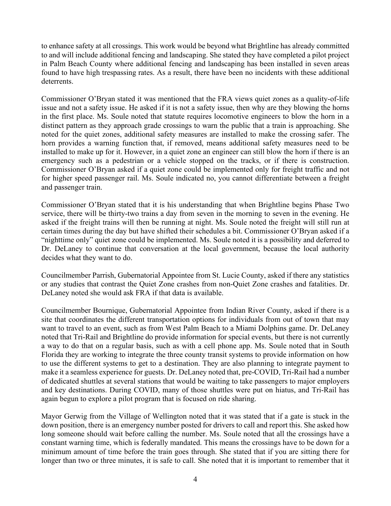to enhance safety at all crossings. This work would be beyond what Brightline has already committed to and will include additional fencing and landscaping. She stated they have completed a pilot project in Palm Beach County where additional fencing and landscaping has been installed in seven areas found to have high trespassing rates. As a result, there have been no incidents with these additional deterrents.

Commissioner O'Bryan stated it was mentioned that the FRA views quiet zones as a quality-of-life issue and not a safety issue. He asked if it is not a safety issue, then why are they blowing the horns in the first place. Ms. Soule noted that statute requires locomotive engineers to blow the horn in a distinct pattern as they approach grade crossings to warn the public that a train is approaching. She noted for the quiet zones, additional safety measures are installed to make the crossing safer. The horn provides a warning function that, if removed, means additional safety measures need to be installed to make up for it. However, in a quiet zone an engineer can still blow the horn if there is an emergency such as a pedestrian or a vehicle stopped on the tracks, or if there is construction. Commissioner O'Bryan asked if a quiet zone could be implemented only for freight traffic and not for higher speed passenger rail. Ms. Soule indicated no, you cannot differentiate between a freight and passenger train.

Commissioner O'Bryan stated that it is his understanding that when Brightline begins Phase Two service, there will be thirty-two trains a day from seven in the morning to seven in the evening. He asked if the freight trains will then be running at night. Ms. Soule noted the freight will still run at certain times during the day but have shifted their schedules a bit. Commissioner O'Bryan asked if a "nighttime only" quiet zone could be implemented. Ms. Soule noted it is a possibility and deferred to Dr. DeLaney to continue that conversation at the local government, because the local authority decides what they want to do.

Councilmember Parrish, Gubernatorial Appointee from St. Lucie County, asked if there any statistics or any studies that contrast the Quiet Zone crashes from non-Quiet Zone crashes and fatalities. Dr. DeLaney noted she would ask FRA if that data is available.

Councilmember Bournique, Gubernatorial Appointee from Indian River County, asked if there is a site that coordinates the different transportation options for individuals from out of town that may want to travel to an event, such as from West Palm Beach to a Miami Dolphins game. Dr. DeLaney noted that Tri-Rail and Brightline do provide information for special events, but there is not currently a way to do that on a regular basis, such as with a cell phone app. Ms. Soule noted that in South Florida they are working to integrate the three county transit systems to provide information on how to use the different systems to get to a destination. They are also planning to integrate payment to make it a seamless experience for guests. Dr. DeLaney noted that, pre-COVID, Tri-Rail had a number of dedicated shuttles at several stations that would be waiting to take passengers to major employers and key destinations. During COVID, many of those shuttles were put on hiatus, and Tri-Rail has again begun to explore a pilot program that is focused on ride sharing.

Mayor Gerwig from the Village of Wellington noted that it was stated that if a gate is stuck in the down position, there is an emergency number posted for drivers to call and report this. She asked how long someone should wait before calling the number. Ms. Soule noted that all the crossings have a constant warning time, which is federally mandated. This means the crossings have to be down for a minimum amount of time before the train goes through. She stated that if you are sitting there for longer than two or three minutes, it is safe to call. She noted that it is important to remember that it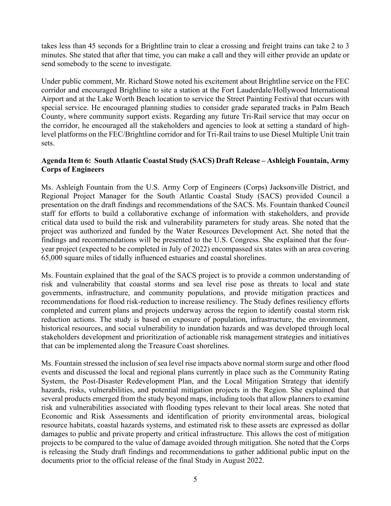takes less than 45 seconds for a Brightline train to clear a crossing and freight trains can take 2 to 3 minutes. She stated that after that time, you can make a call and they will either provide an update or send somebody to the scene to investigate.

Under public comment, Mr. Richard Stowe noted his excitement about Brightline service on the FEC corridor and encouraged Brightline to site a station at the Fort Lauderdale/Hollywood International Airport and at the Lake Worth Beach location to service the Street Painting Festival that occurs with special service. He encouraged planning studies to consider grade separated tracks in Palm Beach County, where community support exists. Regarding any future Tri-Rail service that may occur on the corridor, he encouraged all the stakeholders and agencies to look at setting a standard of highlevel platforms on the FEC/Brightline corridor and for Tri-Rail trains to use Diesel Multiple Unit train sets.

# **Agenda Item 6: South Atlantic Coastal Study (SACS) Draft Release – Ashleigh Fountain, Army Corps of Engineers**

Ms. Ashleigh Fountain from the U.S. Army Corp of Engineers (Corps) Jacksonville District, and Regional Project Manager for the South Atlantic Coastal Study (SACS) provided Council a presentation on the draft findings and recommendations of the SACS. Ms. Fountain thanked Council staff for efforts to build a collaborative exchange of information with stakeholders, and provide critical data used to build the risk and vulnerability parameters for study areas. She noted that the project was authorized and funded by the Water Resources Development Act. She noted that the findings and recommendations will be presented to the U.S. Congress. She explained that the fouryear project (expected to be completed in July of 2022) encompassed six states with an area covering 65,000 square miles of tidally influenced estuaries and coastal shorelines.

Ms. Fountain explained that the goal of the SACS project is to provide a common understanding of risk and vulnerability that coastal storms and sea level rise pose as threats to local and state governments, infrastructure, and community populations, and provide mitigation practices and recommendations for flood risk-reduction to increase resiliency. The Study defines resiliency efforts completed and current plans and projects underway across the region to identify coastal storm risk reduction actions. The study is based on exposure of population, infrastructure, the environment, historical resources, and social vulnerability to inundation hazards and was developed through local stakeholders development and prioritization of actionable risk management strategies and initiatives that can be implemented along the Treasure Coast shorelines.

Ms. Fountain stressed the inclusion of sea level rise impacts above normal storm surge and other flood events and discussed the local and regional plans currently in place such as the Community Rating System, the Post-Disaster Redevelopment Plan, and the Local Mitigation Strategy that identify hazards, risks, vulnerabilities, and potential mitigation projects in the Region. She explained that several products emerged from the study beyond maps, including tools that allow planners to examine risk and vulnerabilities associated with flooding types relevant to their local areas. She noted that Economic and Risk Assessments and identification of priority environmental areas, biological resource habitats, coastal hazards systems, and estimated risk to these assets are expressed as dollar damages to public and private property and critical infrastructure. This allows the cost of mitigation projects to be compared to the value of damage avoided through mitigation. She noted that the Corps is releasing the Study draft findings and recommendations to gather additional public input on the documents prior to the official release of the final Study in August 2022.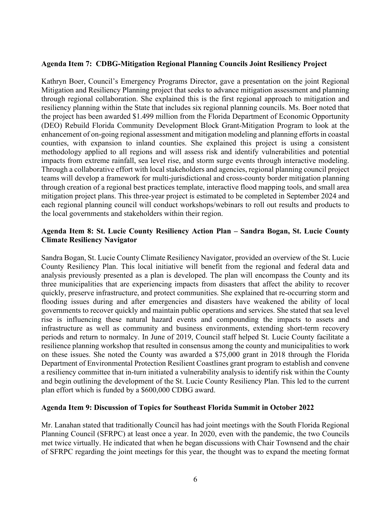#### **Agenda Item 7: CDBG-Mitigation Regional Planning Councils Joint Resiliency Project**

Kathryn Boer, Council's Emergency Programs Director, gave a presentation on the joint Regional Mitigation and Resiliency Planning project that seeks to advance mitigation assessment and planning through regional collaboration. She explained this is the first regional approach to mitigation and resiliency planning within the State that includes six regional planning councils. Ms. Boer noted that the project has been awarded \$1.499 million from the Florida Department of Economic Opportunity (DEO) Rebuild Florida Community Development Block Grant-Mitigation Program to look at the enhancement of on-going regional assessment and mitigation modeling and planning efforts in coastal counties, with expansion to inland counties. She explained this project is using a consistent methodology applied to all regions and will assess risk and identify vulnerabilities and potential impacts from extreme rainfall, sea level rise, and storm surge events through interactive modeling. Through a collaborative effort with local stakeholders and agencies, regional planning council project teams will develop a framework for multi-jurisdictional and cross-county border mitigation planning through creation of a regional best practices template, interactive flood mapping tools, and small area mitigation project plans. This three-year project is estimated to be completed in September 2024 and each regional planning council will conduct workshops/webinars to roll out results and products to the local governments and stakeholders within their region.

#### **Agenda Item 8: St. Lucie County Resiliency Action Plan – Sandra Bogan, St. Lucie County Climate Resiliency Navigator**

Sandra Bogan, St. Lucie County Climate Resiliency Navigator, provided an overview of the St. Lucie County Resiliency Plan. This local initiative will benefit from the regional and federal data and analysis previously presented as a plan is developed. The plan will encompass the County and its three municipalities that are experiencing impacts from disasters that affect the ability to recover quickly, preserve infrastructure, and protect communities. She explained that re-occurring storm and flooding issues during and after emergencies and disasters have weakened the ability of local governments to recover quickly and maintain public operations and services. She stated that sea level rise is influencing these natural hazard events and compounding the impacts to assets and infrastructure as well as community and business environments, extending short-term recovery periods and return to normalcy. In June of 2019, Council staff helped St. Lucie County facilitate a resilience planning workshop that resulted in consensus among the county and municipalities to work on these issues. She noted the County was awarded a \$75,000 grant in 2018 through the Florida Department of Environmental Protection Resilient Coastlines grant program to establish and convene a resiliency committee that in-turn initiated a vulnerability analysis to identify risk within the County and begin outlining the development of the St. Lucie County Resiliency Plan. This led to the current plan effort which is funded by a \$600,000 CDBG award.

#### **Agenda Item 9: Discussion of Topics for Southeast Florida Summit in October 2022**

Mr. Lanahan stated that traditionally Council has had joint meetings with the South Florida Regional Planning Council (SFRPC) at least once a year. In 2020, even with the pandemic, the two Councils met twice virtually. He indicated that when he began discussions with Chair Townsend and the chair of SFRPC regarding the joint meetings for this year, the thought was to expand the meeting format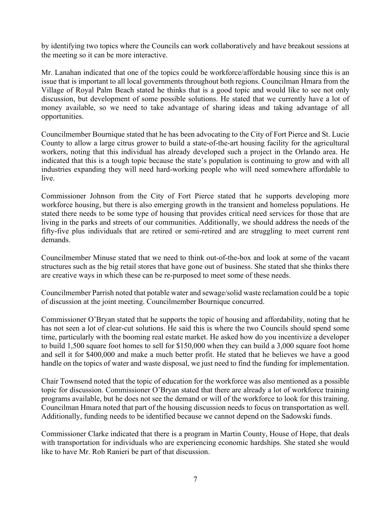by identifying two topics where the Councils can work collaboratively and have breakout sessions at the meeting so it can be more interactive.

Mr. Lanahan indicated that one of the topics could be workforce/affordable housing since this is an issue that is important to all local governments throughout both regions. Councilman Hmara from the Village of Royal Palm Beach stated he thinks that is a good topic and would like to see not only discussion, but development of some possible solutions. He stated that we currently have a lot of money available, so we need to take advantage of sharing ideas and taking advantage of all opportunities.

Councilmember Bournique stated that he has been advocating to the City of Fort Pierce and St. Lucie County to allow a large citrus grower to build a state-of-the-art housing facility for the agricultural workers, noting that this individual has already developed such a project in the Orlando area. He indicated that this is a tough topic because the state's population is continuing to grow and with all industries expanding they will need hard-working people who will need somewhere affordable to live.

Commissioner Johnson from the City of Fort Pierce stated that he supports developing more workforce housing, but there is also emerging growth in the transient and homeless populations. He stated there needs to be some type of housing that provides critical need services for those that are living in the parks and streets of our communities. Additionally, we should address the needs of the fifty-five plus individuals that are retired or semi-retired and are struggling to meet current rent demands.

Councilmember Minuse stated that we need to think out-of-the-box and look at some of the vacant structures such as the big retail stores that have gone out of business. She stated that she thinks there are creative ways in which these can be re-purposed to meet some of these needs.

Councilmember Parrish noted that potable water and sewage/solid waste reclamation could be a topic of discussion at the joint meeting. Councilmember Bournique concurred.

Commissioner O'Bryan stated that he supports the topic of housing and affordability, noting that he has not seen a lot of clear-cut solutions. He said this is where the two Councils should spend some time, particularly with the booming real estate market. He asked how do you incentivize a developer to build 1,500 square foot homes to sell for \$150,000 when they can build a 3,000 square foot home and sell it for \$400,000 and make a much better profit. He stated that he believes we have a good handle on the topics of water and waste disposal, we just need to find the funding for implementation.

Chair Townsend noted that the topic of education for the workforce was also mentioned as a possible topic for discussion. Commissioner O'Bryan stated that there are already a lot of workforce training programs available, but he does not see the demand or will of the workforce to look for this training. Councilman Hmara noted that part of the housing discussion needs to focus on transportation as well. Additionally, funding needs to be identified because we cannot depend on the Sadowski funds.

Commissioner Clarke indicated that there is a program in Martin County, House of Hope, that deals with transportation for individuals who are experiencing economic hardships. She stated she would like to have Mr. Rob Ranieri be part of that discussion.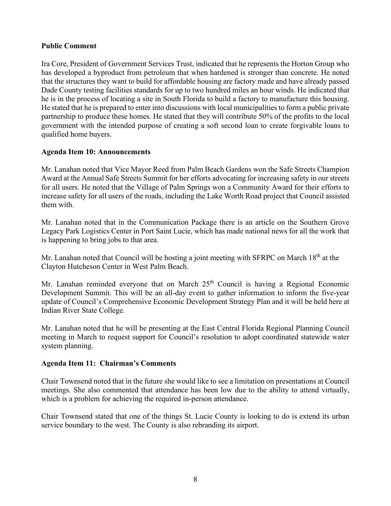# **Public Comment**

Ira Core, President of Government Services Trust, indicated that he represents the Horton Group who has developed a byproduct from petroleum that when hardened is stronger than concrete. He noted that the structures they want to build for affordable housing are factory made and have already passed Dade County testing facilities standards for up to two hundred miles an hour winds. He indicated that he is in the process of locating a site in South Florida to build a factory to manufacture this housing. He stated that he is prepared to enter into discussions with local municipalities to form a public private partnership to produce these homes. He stated that they will contribute 50% of the profits to the local government with the intended purpose of creating a soft second loan to create forgivable loans to qualified home buyers.

#### **Agenda Item 10: Announcements**

Mr. Lanahan noted that Vice Mayor Reed from Palm Beach Gardens won the Safe Streets Champion Award at the Annual Safe Streets Summit for her efforts advocating for increasing safety in our streets for all users. He noted that the Village of Palm Springs won a Community Award for their efforts to increase safety for all users of the roads, including the Lake Worth Road project that Council assisted them with.

Mr. Lanahan noted that in the Communication Package there is an article on the Southern Grove Legacy Park Logistics Center in Port Saint Lucie, which has made national news for all the work that is happening to bring jobs to that area.

Mr. Lanahan noted that Council will be hosting a joint meeting with SFRPC on March 18<sup>th</sup> at the Clayton Hutcheson Center in West Palm Beach.

Mr. Lanahan reminded everyone that on March  $25<sup>th</sup>$  Council is having a Regional Economic Development Summit. This will be an all-day event to gather information to inform the five-year update of Council's Comprehensive Economic Development Strategy Plan and it will be held here at Indian River State College.

Mr. Lanahan noted that he will be presenting at the East Central Florida Regional Planning Council meeting in March to request support for Council's resolution to adopt coordinated statewide water system planning.

#### **Agenda Item 11: Chairman's Comments**

Chair Townsend noted that in the future she would like to see a limitation on presentations at Council meetings. She also commented that attendance has been low due to the ability to attend virtually, which is a problem for achieving the required in-person attendance.

Chair Townsend stated that one of the things St. Lucie County is looking to do is extend its urban service boundary to the west. The County is also rebranding its airport.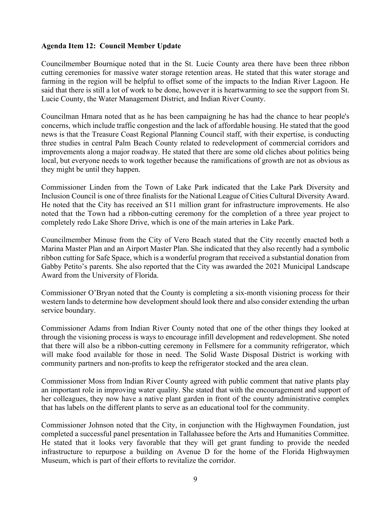# **Agenda Item 12: Council Member Update**

Councilmember Bournique noted that in the St. Lucie County area there have been three ribbon cutting ceremonies for massive water storage retention areas. He stated that this water storage and farming in the region will be helpful to offset some of the impacts to the Indian River Lagoon. He said that there is still a lot of work to be done, however it is heartwarming to see the support from St. Lucie County, the Water Management District, and Indian River County.

Councilman Hmara noted that as he has been campaigning he has had the chance to hear people's concerns, which include traffic congestion and the lack of affordable housing. He stated that the good news is that the Treasure Coast Regional Planning Council staff, with their expertise, is conducting three studies in central Palm Beach County related to redevelopment of commercial corridors and improvements along a major roadway. He stated that there are some old cliches about politics being local, but everyone needs to work together because the ramifications of growth are not as obvious as they might be until they happen.

Commissioner Linden from the Town of Lake Park indicated that the Lake Park Diversity and Inclusion Council is one of three finalists for the National League of Cities Cultural Diversity Award. He noted that the City has received an \$11 million grant for infrastructure improvements. He also noted that the Town had a ribbon-cutting ceremony for the completion of a three year project to completely redo Lake Shore Drive, which is one of the main arteries in Lake Park.

Councilmember Minuse from the City of Vero Beach stated that the City recently enacted both a Marina Master Plan and an Airport Master Plan. She indicated that they also recently had a symbolic ribbon cutting for Safe Space, which is a wonderful program that received a substantial donation from Gabby Petito's parents. She also reported that the City was awarded the 2021 Municipal Landscape Award from the University of Florida.

Commissioner O'Bryan noted that the County is completing a six-month visioning process for their western lands to determine how development should look there and also consider extending the urban service boundary.

Commissioner Adams from Indian River County noted that one of the other things they looked at through the visioning process is ways to encourage infill development and redevelopment. She noted that there will also be a ribbon-cutting ceremony in Fellsmere for a community refrigerator, which will make food available for those in need. The Solid Waste Disposal District is working with community partners and non-profits to keep the refrigerator stocked and the area clean.

Commissioner Moss from Indian River County agreed with public comment that native plants play an important role in improving water quality. She stated that with the encouragement and support of her colleagues, they now have a native plant garden in front of the county administrative complex that has labels on the different plants to serve as an educational tool for the community.

Commissioner Johnson noted that the City, in conjunction with the Highwaymen Foundation, just completed a successful panel presentation in Tallahassee before the Arts and Humanities Committee. He stated that it looks very favorable that they will get grant funding to provide the needed infrastructure to repurpose a building on Avenue D for the home of the Florida Highwaymen Museum, which is part of their efforts to revitalize the corridor.